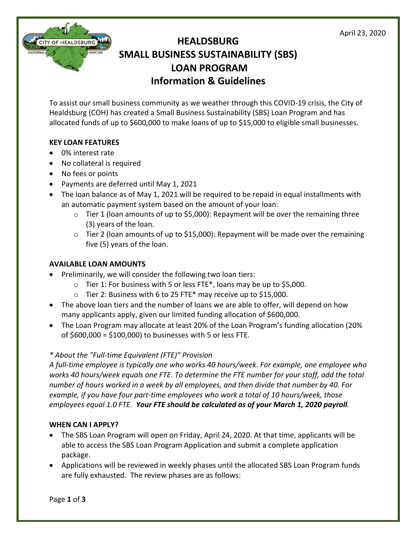

To assist our small business community as we weather through this COVID-19 crisis, the City of Healdsburg (COH) has created a Small Business Sustainability (SBS) Loan Program and has allocated funds of up to \$600,000 to make loans of up to \$15,000 to eligible small businesses.

# **KEY LOAN FEATURES**

**CITY OF HEALDSBURG** 

- 0% interest rate
- No collateral is required
- No fees or points
- Payments are deferred until May 1, 2021
- The loan balance as of May 1, 2021 will be required to be repaid in equal installments with an automatic payment system based on the amount of your loan:
	- $\circ$  Tier 1 (loan amounts of up to \$5,000): Repayment will be over the remaining three (3) years of the loan.
	- $\circ$  Tier 2 (loan amounts of up to \$15,000): Repayment will be made over the remaining five (5) years of the loan.

## **AVAILABLE LOAN AMOUNTS**

- Preliminarily, we will consider the following two loan tiers:
	- o Tier 1: For business with 5 or less FTE\*, loans may be up to \$5,000.
	- o Tier 2: Business with 6 to 25 FTE\* may receive up to \$15,000.
- The above loan tiers and the number of loans we are able to offer, will depend on how many applicants apply, given our limited funding allocation of \$600,000.
- The Loan Program may allocate at least 20% of the Loan Program's funding allocation (20% of \$600,000 = \$100,000) to businesses with 5 or less FTE.

# *\* About the "Full-time Equivalent (FTE)" Provision*

*A full-time employee is typically one who works 40 hours/week. For example, one employee who works 40 hours/week equals one FTE. To determine the FTE number for your staff, add the total number of hours worked in a week by all employees, and then divide that number by 40. For example, if you have four part-time employees who work a total of 10 hours/week, those employees equal 1.0 FTE. Your FTE should be calculated as of your March 1, 2020 payroll.*

## **WHEN CAN I APPLY?**

- The SBS Loan Program will open on Friday, April 24, 2020. At that time, applicants will be able to access the SBS Loan Program Application and submit a complete application package.
- Applications will be reviewed in weekly phases until the allocated SBS Loan Program funds are fully exhausted. The review phases are as follows: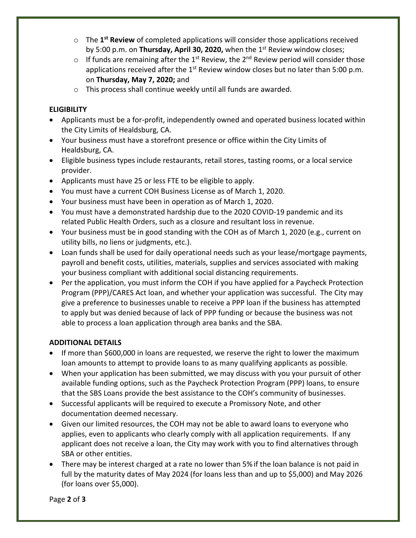- o The **1st Review** of completed applications will consider those applications received by 5:00 p.m. on **Thursday, April 30, 2020,** when the 1st Review window closes;
- o If funds are remaining after the 1<sup>st</sup> Review, the 2<sup>nd</sup> Review period will consider those applications received after the  $1<sup>st</sup>$  Review window closes but no later than 5:00 p.m. on **Thursday, May 7, 2020;** and
- o This process shall continue weekly until all funds are awarded.

# **ELIGIBILITY**

- Applicants must be a for-profit, independently owned and operated business located within the City Limits of Healdsburg, CA.
- Your business must have a storefront presence or office within the City Limits of Healdsburg, CA.
- Eligible business types include restaurants, retail stores, tasting rooms, or a local service provider.
- Applicants must have 25 or less FTE to be eligible to apply.
- You must have a current COH Business License as of March 1, 2020.
- Your business must have been in operation as of March 1, 2020.
- You must have a demonstrated hardship due to the 2020 COVID-19 pandemic and its related Public Health Orders, such as a closure and resultant loss in revenue.
- Your business must be in good standing with the COH as of March 1, 2020 (e.g., current on utility bills, no liens or judgments, etc.).
- Loan funds shall be used for daily operational needs such as your lease/mortgage payments, payroll and benefit costs, utilities, materials, supplies and services associated with making your business compliant with additional social distancing requirements.
- Per the application, you must inform the COH if you have applied for a Paycheck Protection Program (PPP)/CARES Act loan, and whether your application was successful. The City may give a preference to businesses unable to receive a PPP loan if the business has attempted to apply but was denied because of lack of PPP funding or because the business was not able to process a loan application through area banks and the SBA.

# **ADDITIONAL DETAILS**

- If more than \$600,000 in loans are requested, we reserve the right to lower the maximum loan amounts to attempt to provide loans to as many qualifying applicants as possible.
- When your application has been submitted, we may discuss with you your pursuit of other available funding options, such as the Paycheck Protection Program (PPP) loans, to ensure that the SBS Loans provide the best assistance to the COH's community of businesses.
- Successful applicants will be required to execute a Promissory Note, and other documentation deemed necessary.
- Given our limited resources, the COH may not be able to award loans to everyone who applies, even to applicants who clearly comply with all application requirements. If any applicant does not receive a loan, the City may work with you to find alternatives through SBA or other entities.
- There may be interest charged at a rate no lower than 5% if the loan balance is not paid in full by the maturity dates of May 2024 (for loans less than and up to \$5,000) and May 2026 (for loans over \$5,000).

Page **2** of **3**